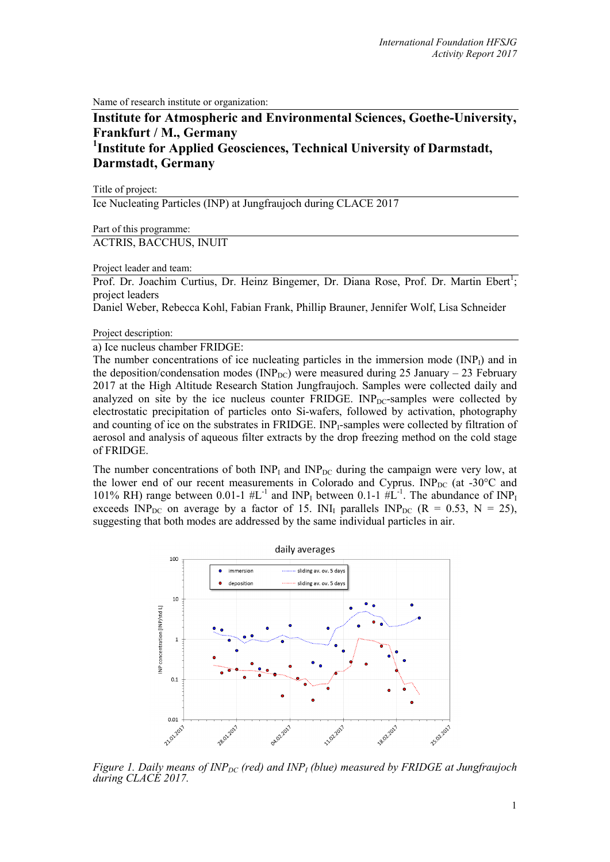Name of research institute or organization:

# **Institute for Atmospheric and Environmental Sciences, Goethe-University, Frankfurt / M., Germany 1 Institute for Applied Geosciences, Technical University of Darmstadt, Darmstadt, Germany**

Title of project:

Ice Nucleating Particles (INP) at Jungfraujoch during CLACE 2017

Part of this programme:

ACTRIS, BACCHUS, INUIT

Project leader and team:

Prof. Dr. Joachim Curtius, Dr. Heinz Bingemer, Dr. Diana Rose, Prof. Dr. Martin Ebert<sup>1</sup>; project leaders

Daniel Weber, Rebecca Kohl, Fabian Frank, Phillip Brauner, Jennifer Wolf, Lisa Schneider

Project description:

a) Ice nucleus chamber FRIDGE:

The number concentrations of ice nucleating particles in the immersion mode  $(INP<sub>I</sub>)$  and in the deposition/condensation modes ( $INP_{DC}$ ) were measured during 25 January – 23 February 2017 at the High Altitude Research Station Jungfraujoch. Samples were collected daily and analyzed on site by the ice nucleus counter  $FRIDGE$ .  $INP<sub>DC</sub>$ -samples were collected by electrostatic precipitation of particles onto Si-wafers, followed by activation, photography and counting of ice on the substrates in FRIDGE. INP<sub>I</sub>-samples were collected by filtration of aerosol and analysis of aqueous filter extracts by the drop freezing method on the cold stage of FRIDGE.

The number concentrations of both  $INP<sub>I</sub>$  and  $INP<sub>DC</sub>$  during the campaign were very low, at the lower end of our recent measurements in Colorado and Cyprus.  $INP_{DC}$  (at -30°C and 101% RH) range between 0.01-1  $#L^{-1}$  and INP<sub>I</sub> between 0.1-1  $#L^{-1}$ . The abundance of INP<sub>I</sub> exceeds INP<sub>DC</sub> on average by a factor of 15. INI<sub>I</sub> parallels INP<sub>DC</sub> (R = 0.53, N = 25), suggesting that both modes are addressed by the same individual particles in air.



*Figure 1. Daily means of INP<sub>DC</sub> (red) and INP<sub>I</sub> (blue) measured by FRIDGE at Jungfraujoch during CLACE 2017.*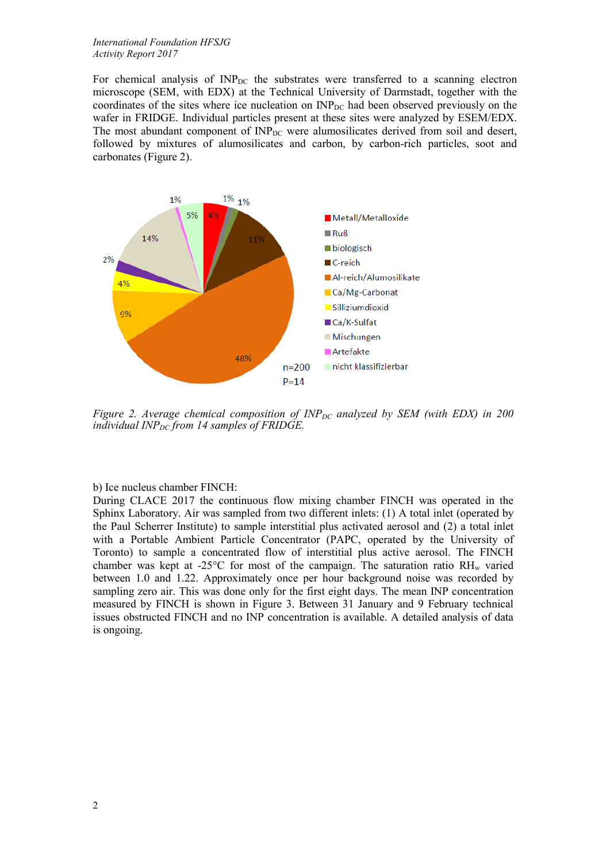#### *International Foundation HFSJG Activity Report 2017*

For chemical analysis of  $\text{INP}_{\text{DC}}$  the substrates were transferred to a scanning electron microscope (SEM, with EDX) at the Technical University of Darmstadt, together with the coordinates of the sites where ice nucleation on  $INP_{DC}$  had been observed previously on the wafer in FRIDGE. Individual particles present at these sites were analyzed by ESEM/EDX. The most abundant component of  $INP_{DC}$  were alumosilicates derived from soil and desert, followed by mixtures of alumosilicates and carbon, by carbon-rich particles, soot and carbonates (Figure 2).



*Figure 2. Average chemical composition of INP<sub>DC</sub> analyzed by SEM (with EDX) in 200 individual INP<sub>DC</sub> from 14 samples of FRIDGE.* 

### b) Ice nucleus chamber FINCH:

During CLACE 2017 the continuous flow mixing chamber FINCH was operated in the Sphinx Laboratory. Air was sampled from two different inlets: (1) A total inlet (operated by the Paul Scherrer Institute) to sample interstitial plus activated aerosol and (2) a total inlet with a Portable Ambient Particle Concentrator (PAPC, operated by the University of Toronto) to sample a concentrated flow of interstitial plus active aerosol. The FINCH chamber was kept at -25 $^{\circ}$ C for most of the campaign. The saturation ratio RH<sub>w</sub> varied between 1.0 and 1.22. Approximately once per hour background noise was recorded by sampling zero air. This was done only for the first eight days. The mean INP concentration measured by FINCH is shown in Figure 3. Between 31 January and 9 February technical issues obstructed FINCH and no INP concentration is available. A detailed analysis of data is ongoing.